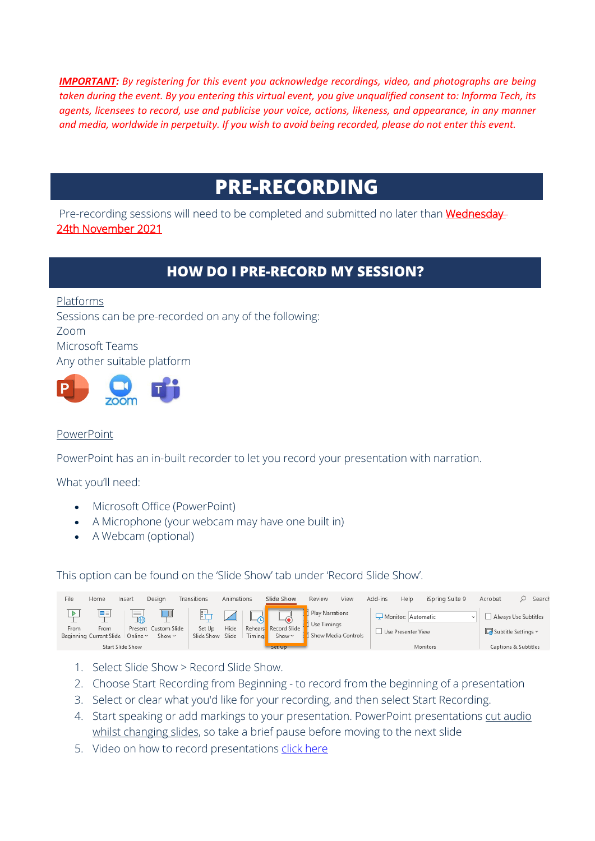*IMPORTANT: By registering for this event you acknowledge recordings, video, and photographs are being taken during the event. By you entering this virtual event, you give unqualified consent to: Informa Tech, its agents, licensees to record, use and publicise your voice, actions, likeness, and appearance, in any manner and media, worldwide in perpetuity. If you wish to avoid being recorded, please do not enter this event.*

# **PRE-RECORDING**

Pre-recording sessions will need to be completed and submitted no later than **Wednesday** 24th November 2021

## **HOW DO I PRE-RECORD MY SESSION?**

Platforms Sessions can be pre-recorded on any of the following: Zoom Microsoft Teams Any other suitable platform



### PowerPoint

PowerPoint has an in-built recorder to let you record your presentation with narration.

What you'll need:

- Microsoft Office (PowerPoint)
- A Microphone (your webcam may have one built in)
- A Webcam (optional)

This option can be found on the 'Slide Show' tab under 'Record Slide Show'.

| File      | Home                                             | Insert                                                           | Desian                              | Transitions                | Animations |                | Slide Show                                      | Review                                                  | View | Add-ins | Help                                     | iSpring Suite 9 | Acrobat                                                             | Search |
|-----------|--------------------------------------------------|------------------------------------------------------------------|-------------------------------------|----------------------------|------------|----------------|-------------------------------------------------|---------------------------------------------------------|------|---------|------------------------------------------|-----------------|---------------------------------------------------------------------|--------|
| ▶<br>From | œ≡<br>From<br>Beginning Current Slide   Online ~ | $\sim$<br>$\sim$<br>$\overline{\phantom{a}}$<br>Start Slide Show | Present Custom Slide<br>Show $\sim$ | Set Up<br>Slide Show Slide | Hide       | <b>Timings</b> | Rehears Record Slide<br>Show ~<br><b>Set Up</b> | I Play Narrations<br>Use Timings<br>Show Media Controls |      |         | Monitor: Automatic<br>Use Presenter View | Monitors        | Always Use Subtitles<br>Subtitle Settings v<br>Captions & Subtitles |        |

- 1. Select Slide Show > Record Slide Show.
- 2. Choose Start Recording from Beginning to record from the beginning of a presentation
- 3. Select or clear what you'd like for your recording, and then select Start Recording.
- 4. Start speaking or add markings to your presentation. PowerPoint presentations cut audio whilst changing slides, so take a brief pause before moving to the next slide
- 5. Video on how to record presentations click [here](https://support.microsoft.com/en-us/office/video-record-presentations-2570dff5-f81c-40bc-b404-e04e95ffab33)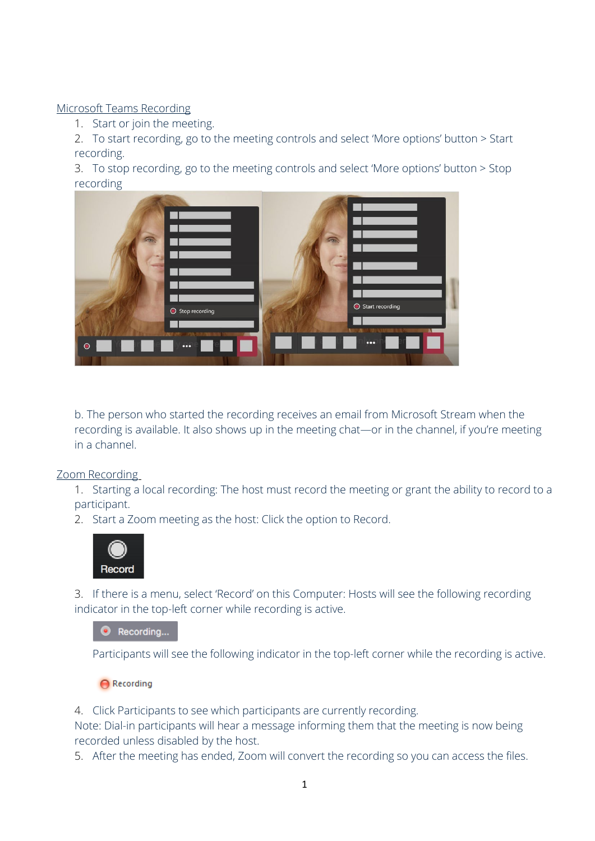Microsoft Teams Recording

1. Start or join the meeting.

2. To start recording, go to the meeting controls and select 'More options' button > Start recording.

3. To stop recording, go to the meeting controls and select 'More options' button > Stop recording



b. The person who started the recording receives an email from Microsoft Stream when the recording is available. It also shows up in the meeting chat—or in the channel, if you're meeting in a channel.

Zoom Recording

1. Starting a local recording: The host must record the meeting or grant the ability to record to a participant.

2. Start a Zoom meeting as the host: Click the option to Record.



3. If there is a menu, select 'Record' on this Computer: Hosts will see the following recording indicator in the top-left corner while recording is active.

Recording...

Participants will see the following indicator in the top-left corner while the recording is active.

 $\bigcap$  Recording

4. Click Participants to see which participants are currently recording.

Note: Dial-in participants will hear a message informing them that the meeting is now being recorded unless disabled by the host.

5. After the meeting has ended, Zoom will convert the recording so you can access the files.